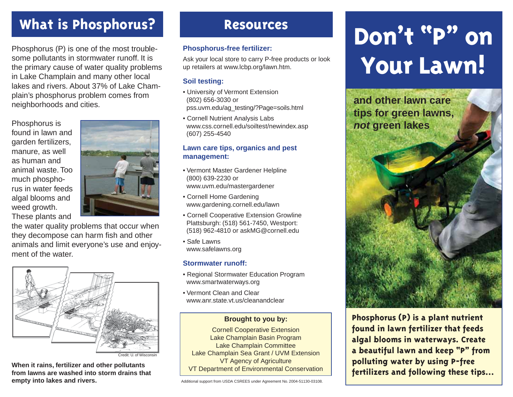### **What is Phosphorus?**

Phosphorus (P) is one of the most troublesome pollutants in stormwater runoff. It is the primary cause of water quality problems in Lake Champlain and many other local lakes and rivers. About 37% of Lake Champlain's phosphorus problem comes from neighborhoods and cities.

Phosphorus is found in lawn and garden fertilizers, manure, as well as human and animal waste. Too much phosphorus in water feeds algal blooms and weed growth. These plants and



the water quality problems that occur when they decompose can harm fish and other animals and limit everyone's use and enjoyment of the water.



**empty into lakes and rivers.**

### **Resources**

### **Phosphorus-free fertilizer:**

Ask your local store to carry P-free products or look up retailers at www.lcbp.org/lawn.htm.

### **Soil testing:**

- University of Vermont Extension (802) 656-3030 or pss.uvm.edu/ag\_testing/?Page=soils.html
- Cornell Nutrient Analysis Labs www.css.cornell.edu/soiltest/newindex.asp (607) 255-4540

### **Lawn care tips, organics and pest management:**

- Vermont Master Gardener Helpline (800) 639-2230 or www.uvm.edu/mastergardener
- Cornell Home Gardening www.gardening.cornell.edu/lawn
- Cornell Cooperative Extension Growline Plattsburgh: (518) 561-7450, Westport: (518) 962-4810 or askMG@cornell.edu
- Safe Lawns www.safelawns.org

### **Stormwater runoff:**

- Regional Stormwater Education Program www.smartwaterways.org
- Vermont Clean and Clear www.anr.state.vt.us/cleanandclear

### **Brought to you by:**

Cornell Cooperative Extension Lake Champlain Basin Program Lake Champlain Committee Lake Champlain Sea Grant / UVM Extension VT Agency of Agriculture VT Department of Environmental Conservation

Additional support from USDA CSREES under Agreement No. 2004-51130-03108.

# **Don't "P" on Your Lawn!**

**and other lawn care tips for green lawns,**  *not* **green lakes**



**Phosphorus (P) is a plant nutrient found in lawn fertilizer that feeds algal blooms in waterways. Create a beautiful lawn and keep "P" from polluting water by using P-free**  When it rains, fertilizer and other pollutants **WEDED INTO THE STATE OF A SHARE IS A SHARE IS A SHARE IS A SHARE ISS...**<br>The partment of Environmental Conservation **following these tips...**